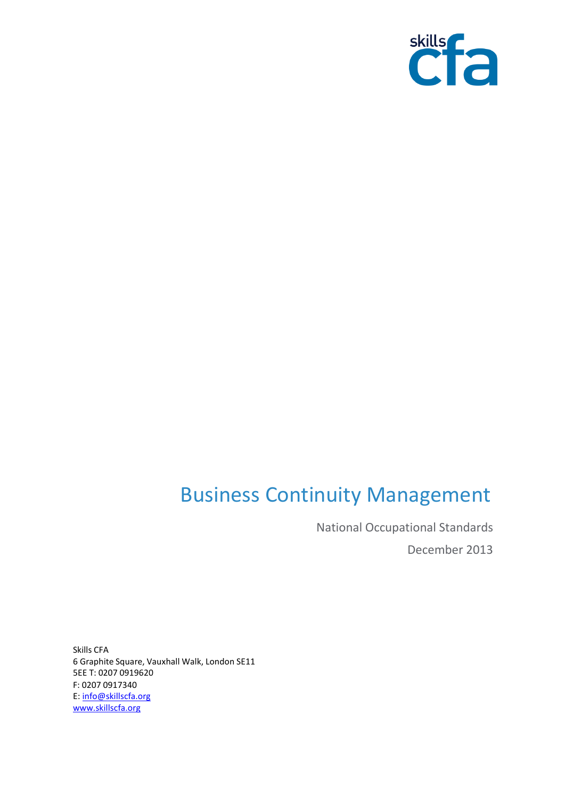

# Business Continuity Management

National Occupational Standards December 2013

Skills CFA 6 Graphite Square, Vauxhall Walk, London SE11 5EE T: 0207 0919620 F: 0207 0917340 E[: info@skillscfa.org](mailto:info@skillscfa.org)  [www.skillscfa.org](http://www.skillscfa.org/)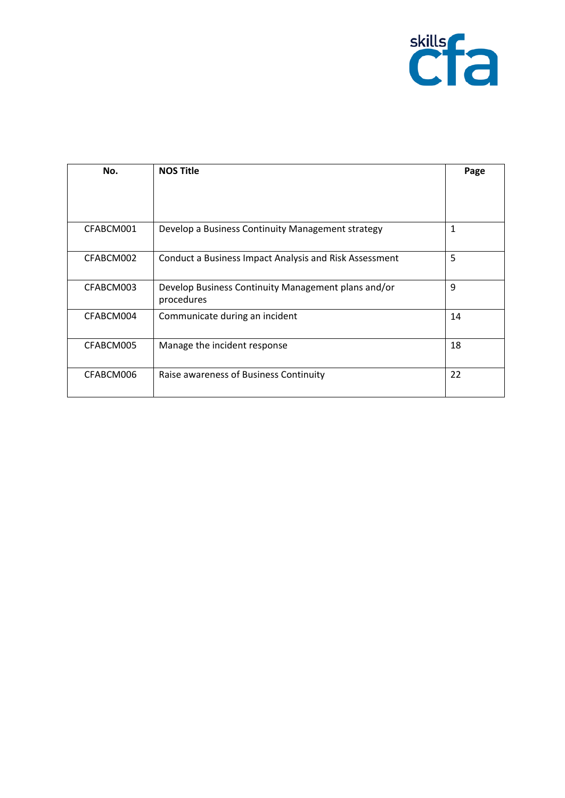

| No.       | <b>NOS Title</b>                                                  | Page |
|-----------|-------------------------------------------------------------------|------|
|           |                                                                   |      |
| CFABCM001 | Develop a Business Continuity Management strategy                 | 1    |
| CFABCM002 | Conduct a Business Impact Analysis and Risk Assessment            | 5    |
| CFABCM003 | Develop Business Continuity Management plans and/or<br>procedures | 9    |
| CFABCM004 | Communicate during an incident                                    | 14   |
| CFABCM005 | Manage the incident response                                      | 18   |
| CFABCM006 | Raise awareness of Business Continuity                            | 22   |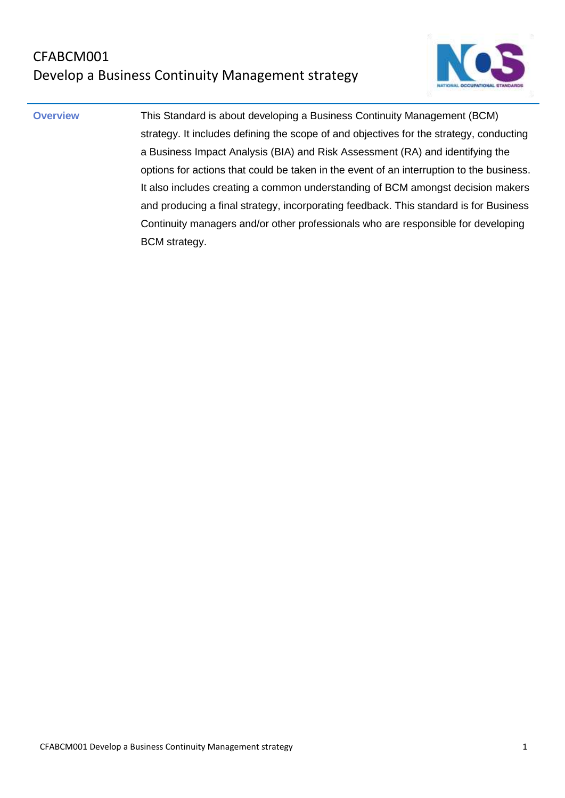## CFABCM001 Develop a Business Continuity Management strategy



**Overview** This Standard is about developing a Business Continuity Management (BCM) strategy. It includes defining the scope of and objectives for the strategy, conducting a Business Impact Analysis (BIA) and Risk Assessment (RA) and identifying the options for actions that could be taken in the event of an interruption to the business. It also includes creating a common understanding of BCM amongst decision makers and producing a final strategy, incorporating feedback. This standard is for Business Continuity managers and/or other professionals who are responsible for developing BCM strategy.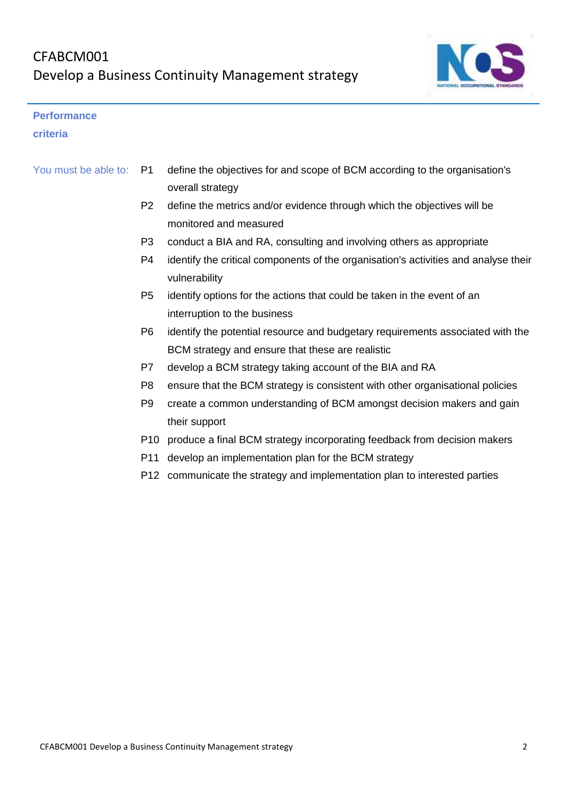

#### **Performance**

#### **criteria**

| You must be able to: P1 | define the objectives for and scope of BCM according to the organisation's |
|-------------------------|----------------------------------------------------------------------------|
|                         | overall strategy                                                           |

- P2 define the metrics and/or evidence through which the objectives will be monitored and measured
- P3 conduct a BIA and RA, consulting and involving others as appropriate
- P4 identify the critical components of the organisation's activities and analyse their vulnerability
- P5 identify options for the actions that could be taken in the event of an interruption to the business
- P6 identify the potential resource and budgetary requirements associated with the BCM strategy and ensure that these are realistic
- P7 develop a BCM strategy taking account of the BIA and RA
- P8 ensure that the BCM strategy is consistent with other organisational policies
- P9 create a common understanding of BCM amongst decision makers and gain their support
- P10 produce a final BCM strategy incorporating feedback from decision makers
- P11 develop an implementation plan for the BCM strategy
- P12 communicate the strategy and implementation plan to interested parties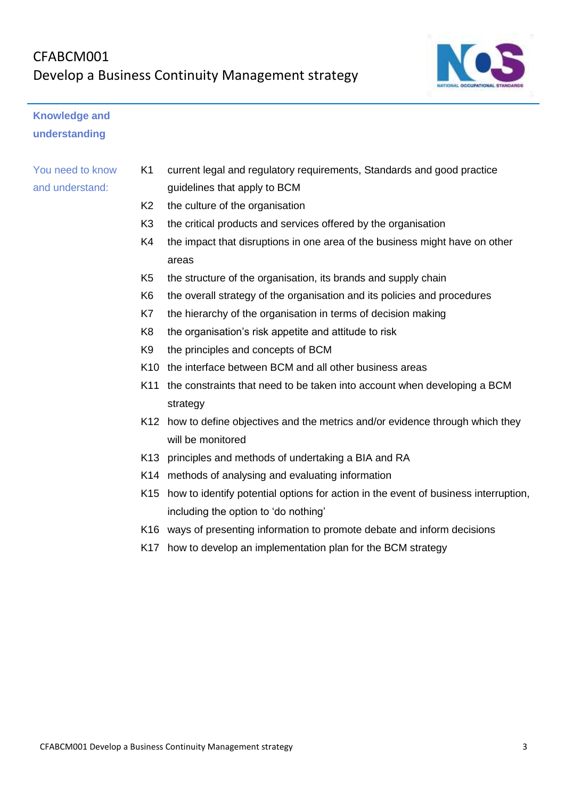## CFABCM001 Develop a Business Continuity Management strategy



## **Knowledge and understanding**

- K1 current legal and regulatory requirements, Standards and good practice guidelines that apply to BCM
- K2 the culture of the organisation
- K3 the critical products and services offered by the organisation
- K4 the impact that disruptions in one area of the business might have on other areas
- K5 the structure of the organisation, its brands and supply chain
- K6 the overall strategy of the organisation and its policies and procedures
- K7 the hierarchy of the organisation in terms of decision making
- K8 the organisation's risk appetite and attitude to risk
- K9 the principles and concepts of BCM
- K10 the interface between BCM and all other business areas
- K11 the constraints that need to be taken into account when developing a BCM strategy
- K12 how to define objectives and the metrics and/or evidence through which they will be monitored
- K13 principles and methods of undertaking a BIA and RA
- K14 methods of analysing and evaluating information
- K15 how to identify potential options for action in the event of business interruption, including the option to 'do nothing'
- K16 ways of presenting information to promote debate and inform decisions
- K17 how to develop an implementation plan for the BCM strategy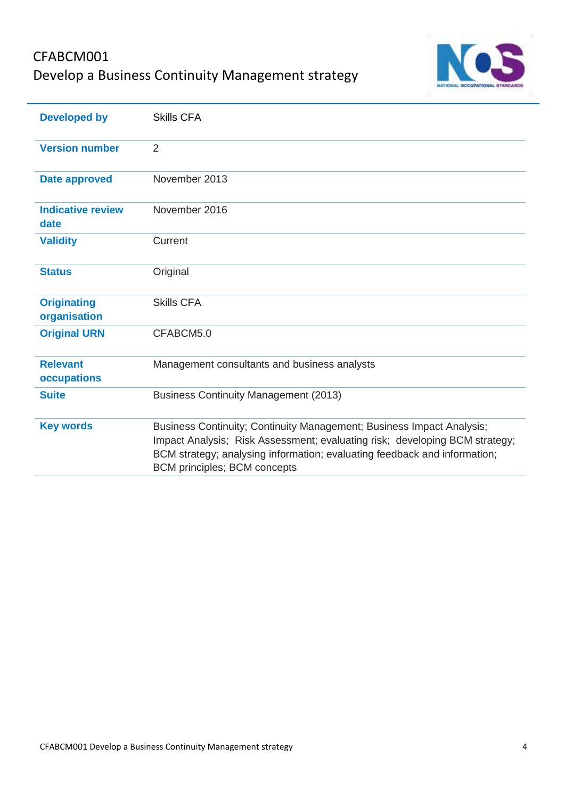## CFABCM001 Develop a Business Continuity Management strategy



| <b>Developed by</b>                | <b>Skills CFA</b>                                                                                                                                                                                                                                                        |
|------------------------------------|--------------------------------------------------------------------------------------------------------------------------------------------------------------------------------------------------------------------------------------------------------------------------|
| <b>Version number</b>              | 2                                                                                                                                                                                                                                                                        |
| <b>Date approved</b>               | November 2013                                                                                                                                                                                                                                                            |
| <b>Indicative review</b><br>date   | November 2016                                                                                                                                                                                                                                                            |
| <b>Validity</b>                    | Current                                                                                                                                                                                                                                                                  |
| <b>Status</b>                      | Original                                                                                                                                                                                                                                                                 |
| <b>Originating</b><br>organisation | <b>Skills CFA</b>                                                                                                                                                                                                                                                        |
| <b>Original URN</b>                | CFABCM5.0                                                                                                                                                                                                                                                                |
| <b>Relevant</b><br>occupations     | Management consultants and business analysts                                                                                                                                                                                                                             |
| <b>Suite</b>                       | <b>Business Continuity Management (2013)</b>                                                                                                                                                                                                                             |
| <b>Key words</b>                   | Business Continuity; Continuity Management; Business Impact Analysis;<br>Impact Analysis; Risk Assessment; evaluating risk; developing BCM strategy;<br>BCM strategy; analysing information; evaluating feedback and information;<br><b>BCM principles; BCM concepts</b> |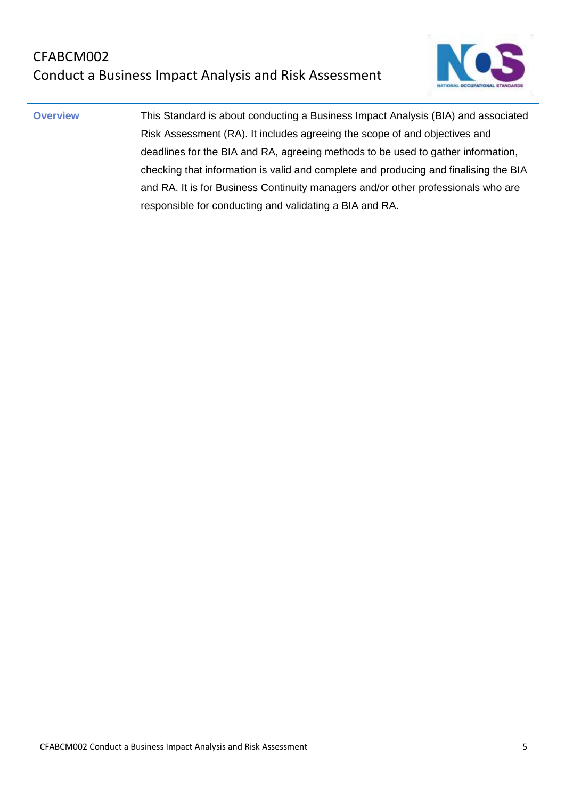

**Overview** This Standard is about conducting a Business Impact Analysis (BIA) and associated Risk Assessment (RA). It includes agreeing the scope of and objectives and deadlines for the BIA and RA, agreeing methods to be used to gather information, checking that information is valid and complete and producing and finalising the BIA and RA. It is for Business Continuity managers and/or other professionals who are responsible for conducting and validating a BIA and RA.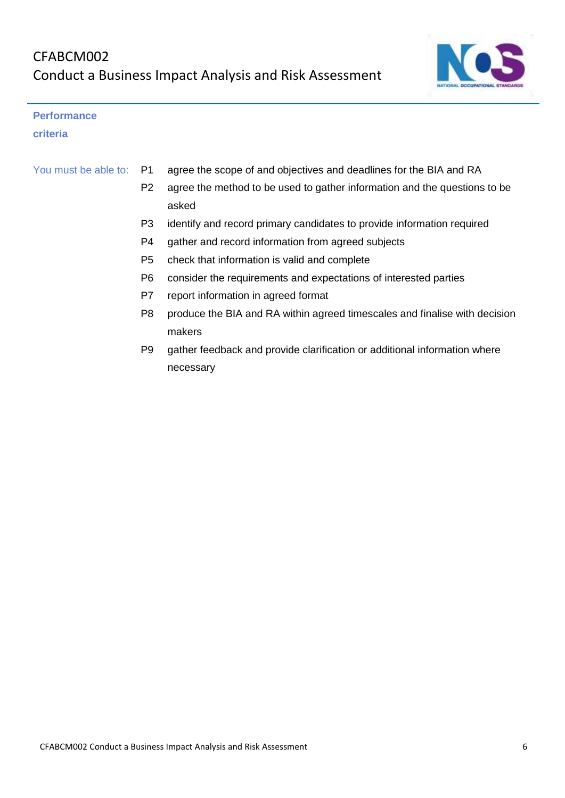

#### **Performance**

**criteria**

| You must be able to: P1 | agree the scope of and objectives and deadlines for the BIA and RA        |
|-------------------------|---------------------------------------------------------------------------|
| P <sub>2</sub>          | agree the method to be used to gather information and the questions to be |
|                         | asked                                                                     |
|                         |                                                                           |

- P3 identify and record primary candidates to provide information required
- P4 gather and record information from agreed subjects
- P5 check that information is valid and complete
- P6 consider the requirements and expectations of interested parties
- P7 report information in agreed format
- P8 produce the BIA and RA within agreed timescales and finalise with decision makers
- P9 gather feedback and provide clarification or additional information where necessary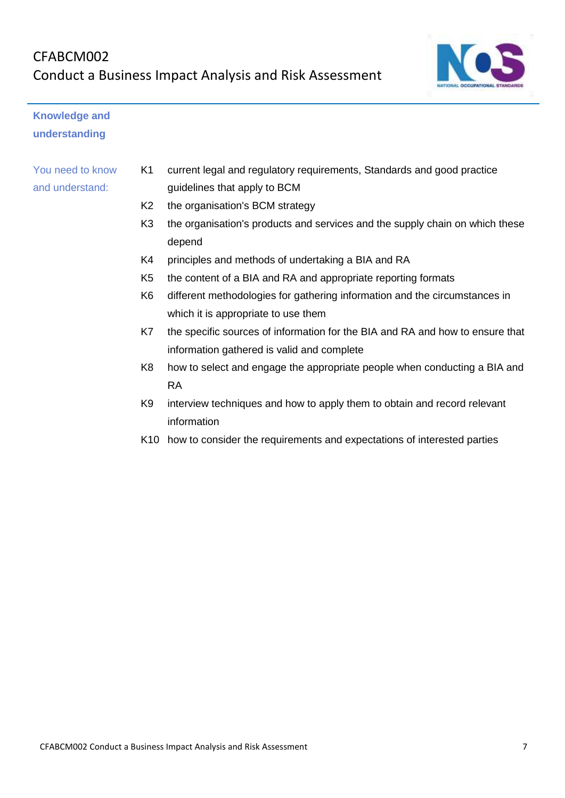

## **Knowledge and understanding**

- K1 current legal and regulatory requirements, Standards and good practice guidelines that apply to BCM
- K2 the organisation's BCM strategy
- K3 the organisation's products and services and the supply chain on which these depend
- K4 principles and methods of undertaking a BIA and RA
- K5 the content of a BIA and RA and appropriate reporting formats
- K6 different methodologies for gathering information and the circumstances in which it is appropriate to use them
- K7 the specific sources of information for the BIA and RA and how to ensure that information gathered is valid and complete
- K8 how to select and engage the appropriate people when conducting a BIA and RA
- K9 interview techniques and how to apply them to obtain and record relevant information
- K10 how to consider the requirements and expectations of interested parties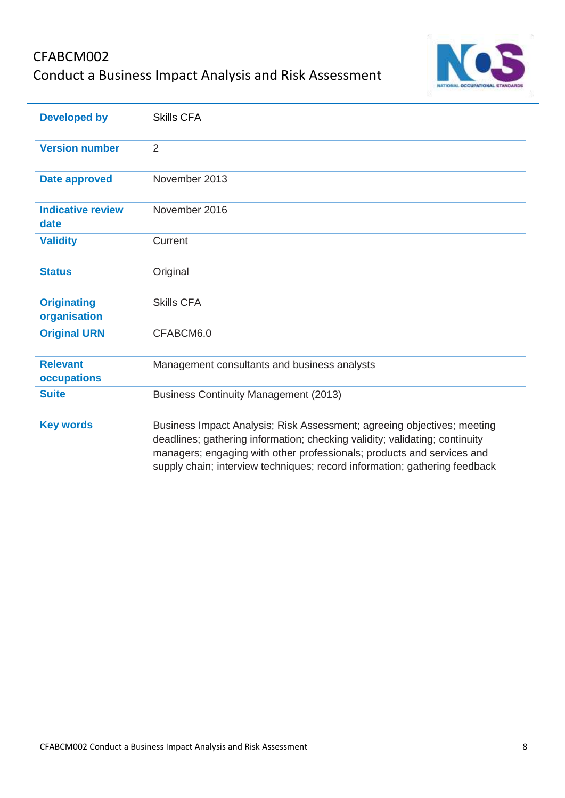## CFABCM002 Conduct a Business Impact Analysis and Risk Assessment



| <b>Developed by</b>                | <b>Skills CFA</b>                                                                                                                                                                                                                                                                                              |
|------------------------------------|----------------------------------------------------------------------------------------------------------------------------------------------------------------------------------------------------------------------------------------------------------------------------------------------------------------|
| <b>Version number</b>              | 2                                                                                                                                                                                                                                                                                                              |
| <b>Date approved</b>               | November 2013                                                                                                                                                                                                                                                                                                  |
| <b>Indicative review</b><br>date   | November 2016                                                                                                                                                                                                                                                                                                  |
| <b>Validity</b>                    | Current                                                                                                                                                                                                                                                                                                        |
| <b>Status</b>                      | Original                                                                                                                                                                                                                                                                                                       |
| <b>Originating</b><br>organisation | <b>Skills CFA</b>                                                                                                                                                                                                                                                                                              |
| <b>Original URN</b>                | CFABCM6.0                                                                                                                                                                                                                                                                                                      |
| <b>Relevant</b><br>occupations     | Management consultants and business analysts                                                                                                                                                                                                                                                                   |
| <b>Suite</b>                       | <b>Business Continuity Management (2013)</b>                                                                                                                                                                                                                                                                   |
| <b>Key words</b>                   | Business Impact Analysis; Risk Assessment; agreeing objectives; meeting<br>deadlines; gathering information; checking validity; validating; continuity<br>managers; engaging with other professionals; products and services and<br>supply chain; interview techniques; record information; gathering feedback |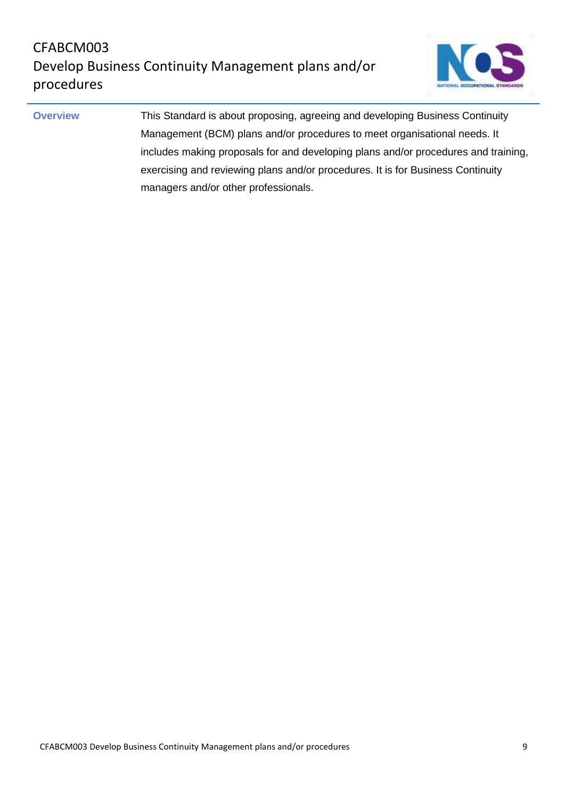

**Overview This Standard is about proposing, agreeing and developing Business Continuity** Management (BCM) plans and/or procedures to meet organisational needs. It includes making proposals for and developing plans and/or procedures and training, exercising and reviewing plans and/or procedures. It is for Business Continuity managers and/or other professionals.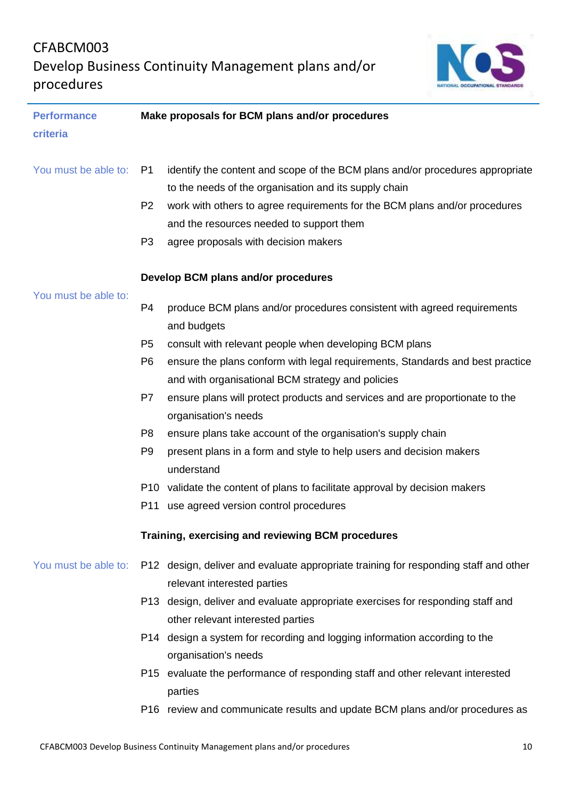## CFABCM003 Develop Business Continuity Management plans and/or procedures



| <b>Performance</b>   | Make proposals for BCM plans and/or procedures |                                                                                      |  |
|----------------------|------------------------------------------------|--------------------------------------------------------------------------------------|--|
| criteria             |                                                |                                                                                      |  |
|                      |                                                |                                                                                      |  |
| You must be able to: | P1                                             | identify the content and scope of the BCM plans and/or procedures appropriate        |  |
|                      |                                                | to the needs of the organisation and its supply chain                                |  |
|                      | P <sub>2</sub>                                 | work with others to agree requirements for the BCM plans and/or procedures           |  |
|                      |                                                | and the resources needed to support them                                             |  |
|                      | P <sub>3</sub>                                 | agree proposals with decision makers                                                 |  |
|                      |                                                |                                                                                      |  |
|                      |                                                | Develop BCM plans and/or procedures                                                  |  |
| You must be able to: | P <sub>4</sub>                                 | produce BCM plans and/or procedures consistent with agreed requirements              |  |
|                      |                                                | and budgets                                                                          |  |
|                      | P <sub>5</sub>                                 | consult with relevant people when developing BCM plans                               |  |
|                      | P <sub>6</sub>                                 | ensure the plans conform with legal requirements, Standards and best practice        |  |
|                      |                                                | and with organisational BCM strategy and policies                                    |  |
|                      | P7                                             | ensure plans will protect products and services and are proportionate to the         |  |
|                      |                                                | organisation's needs                                                                 |  |
|                      | P <sub>8</sub>                                 | ensure plans take account of the organisation's supply chain                         |  |
|                      | P <sub>9</sub>                                 | present plans in a form and style to help users and decision makers                  |  |
|                      |                                                | understand                                                                           |  |
|                      |                                                | P10 validate the content of plans to facilitate approval by decision makers          |  |
|                      | P11                                            | use agreed version control procedures                                                |  |
|                      |                                                | Training, exercising and reviewing BCM procedures                                    |  |
| You must be able to: |                                                | P12 design, deliver and evaluate appropriate training for responding staff and other |  |
|                      |                                                | relevant interested parties                                                          |  |
|                      |                                                | P13 design, deliver and evaluate appropriate exercises for responding staff and      |  |
|                      |                                                | other relevant interested parties                                                    |  |
|                      |                                                | P14 design a system for recording and logging information according to the           |  |
|                      |                                                | organisation's needs                                                                 |  |
|                      |                                                | P15 evaluate the performance of responding staff and other relevant interested       |  |
|                      |                                                | parties                                                                              |  |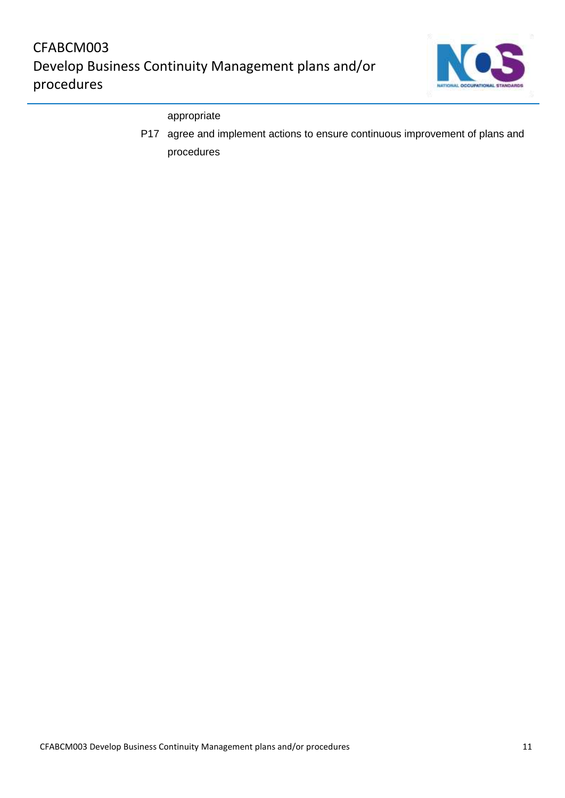

#### appropriate

P17 agree and implement actions to ensure continuous improvement of plans and procedures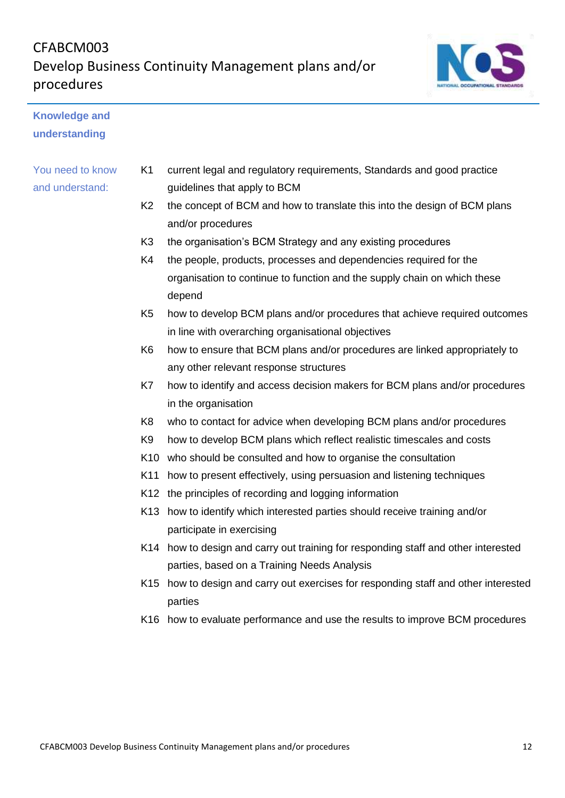## CFABCM003 Develop Business Continuity Management plans and/or procedures



## **Knowledge and understanding**

- K1 current legal and regulatory requirements, Standards and good practice guidelines that apply to BCM
- K2 the concept of BCM and how to translate this into the design of BCM plans and/or procedures
- K3 the organisation's BCM Strategy and any existing procedures
- K4 the people, products, processes and dependencies required for the organisation to continue to function and the supply chain on which these depend
- K5 how to develop BCM plans and/or procedures that achieve required outcomes in line with overarching organisational objectives
- K6 how to ensure that BCM plans and/or procedures are linked appropriately to any other relevant response structures
- K7 how to identify and access decision makers for BCM plans and/or procedures in the organisation
- K8 who to contact for advice when developing BCM plans and/or procedures
- K9 how to develop BCM plans which reflect realistic timescales and costs
- K10 who should be consulted and how to organise the consultation
- K11 how to present effectively, using persuasion and listening techniques
- K12 the principles of recording and logging information
- K13 how to identify which interested parties should receive training and/or participate in exercising
- K14 how to design and carry out training for responding staff and other interested parties, based on a Training Needs Analysis
- K15 how to design and carry out exercises for responding staff and other interested parties
- K16 how to evaluate performance and use the results to improve BCM procedures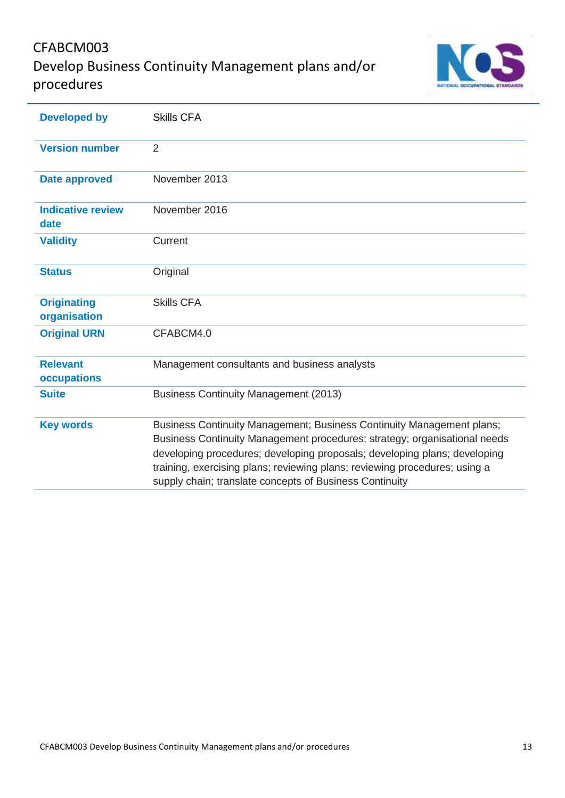## CFABCM003 Develop Business Continuity Management plans and/or procedures



| <b>Developed by</b>                | <b>Skills CFA</b>                                                                                                                                                                                                                                                                                                                                                        |
|------------------------------------|--------------------------------------------------------------------------------------------------------------------------------------------------------------------------------------------------------------------------------------------------------------------------------------------------------------------------------------------------------------------------|
| <b>Version number</b>              | $\overline{2}$                                                                                                                                                                                                                                                                                                                                                           |
| <b>Date approved</b>               | November 2013                                                                                                                                                                                                                                                                                                                                                            |
| <b>Indicative review</b><br>date   | November 2016                                                                                                                                                                                                                                                                                                                                                            |
| <b>Validity</b>                    | Current                                                                                                                                                                                                                                                                                                                                                                  |
| <b>Status</b>                      | Original                                                                                                                                                                                                                                                                                                                                                                 |
| <b>Originating</b><br>organisation | <b>Skills CFA</b>                                                                                                                                                                                                                                                                                                                                                        |
| <b>Original URN</b>                | CFABCM4.0                                                                                                                                                                                                                                                                                                                                                                |
| <b>Relevant</b><br>occupations     | Management consultants and business analysts                                                                                                                                                                                                                                                                                                                             |
| <b>Suite</b>                       | <b>Business Continuity Management (2013)</b>                                                                                                                                                                                                                                                                                                                             |
| <b>Key words</b>                   | Business Continuity Management; Business Continuity Management plans;<br>Business Continuity Management procedures; strategy; organisational needs<br>developing procedures; developing proposals; developing plans; developing<br>training, exercising plans; reviewing plans; reviewing procedures; using a<br>supply chain; translate concepts of Business Continuity |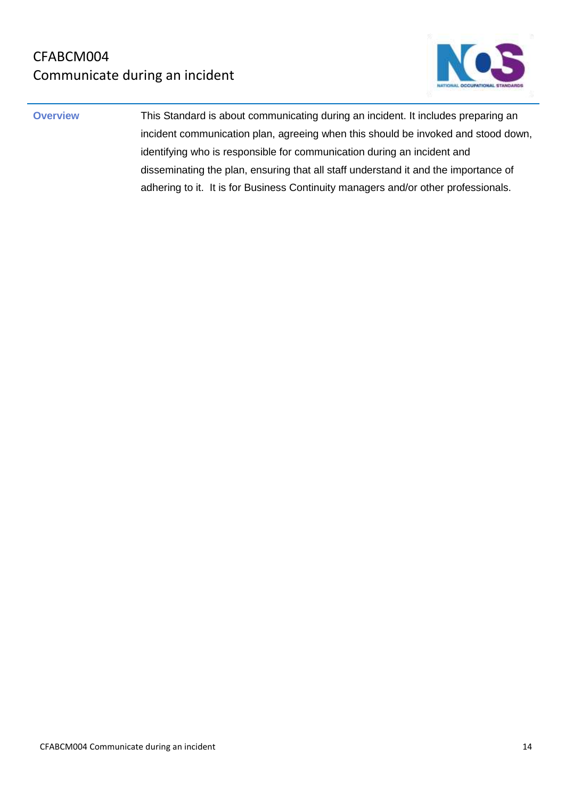

**Overview This Standard is about communicating during an incident. It includes preparing an** incident communication plan, agreeing when this should be invoked and stood down, identifying who is responsible for communication during an incident and disseminating the plan, ensuring that all staff understand it and the importance of adhering to it. It is for Business Continuity managers and/or other professionals.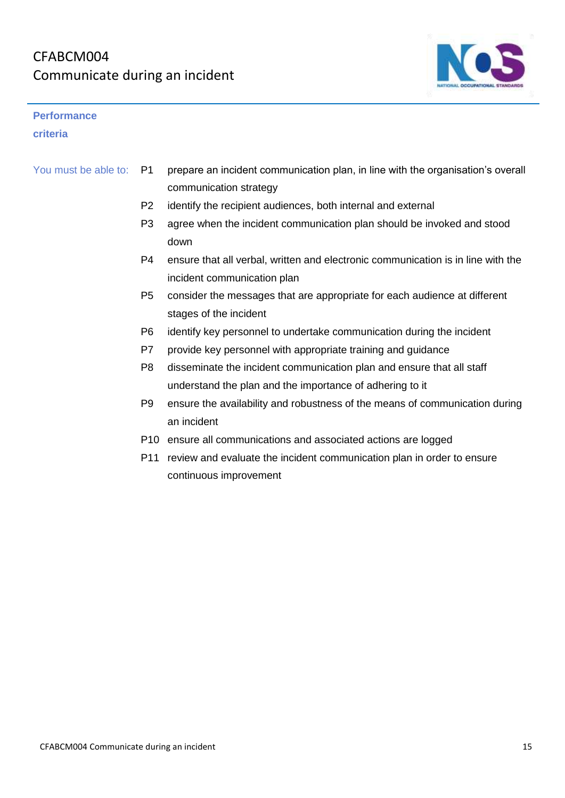

#### **Performance**

**criteria**

- You must be able to: P1 prepare an incident communication plan, in line with the organisation's overall communication strategy
	- P2 identify the recipient audiences, both internal and external
	- P3 agree when the incident communication plan should be invoked and stood down
	- P4 ensure that all verbal, written and electronic communication is in line with the incident communication plan
	- P5 consider the messages that are appropriate for each audience at different stages of the incident
	- P6 identify key personnel to undertake communication during the incident
	- P7 provide key personnel with appropriate training and guidance
	- P8 disseminate the incident communication plan and ensure that all staff understand the plan and the importance of adhering to it
	- P9 ensure the availability and robustness of the means of communication during an incident
	- P10 ensure all communications and associated actions are logged
	- P11 review and evaluate the incident communication plan in order to ensure continuous improvement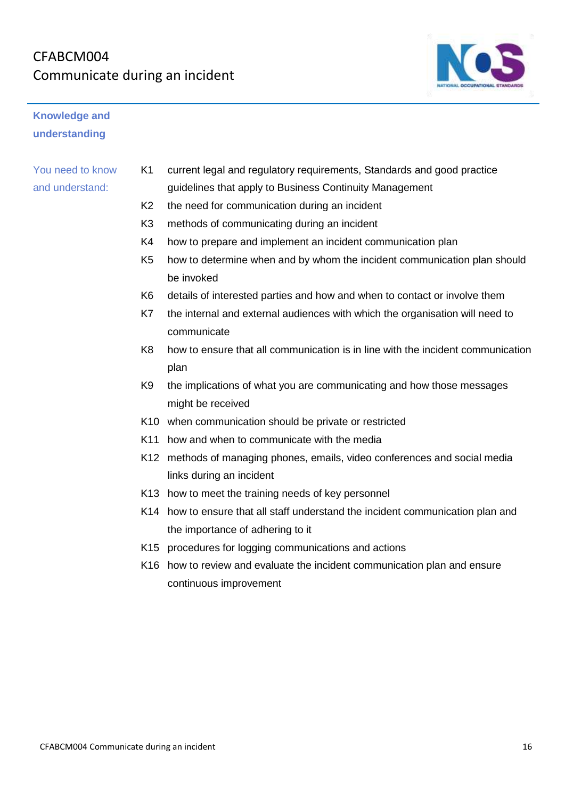

## **Knowledge and understanding**

- K1 current legal and regulatory requirements, Standards and good practice guidelines that apply to Business Continuity Management
- K2 the need for communication during an incident
- K3 methods of communicating during an incident
- K4 how to prepare and implement an incident communication plan
- K5 how to determine when and by whom the incident communication plan should be invoked
- K6 details of interested parties and how and when to contact or involve them
- K7 the internal and external audiences with which the organisation will need to communicate
- K8 how to ensure that all communication is in line with the incident communication plan
- K9 the implications of what you are communicating and how those messages might be received
- K10 when communication should be private or restricted
- K11 how and when to communicate with the media
- K12 methods of managing phones, emails, video conferences and social media links during an incident
- K13 how to meet the training needs of key personnel
- K14 how to ensure that all staff understand the incident communication plan and the importance of adhering to it
- K15 procedures for logging communications and actions
- K16 how to review and evaluate the incident communication plan and ensure continuous improvement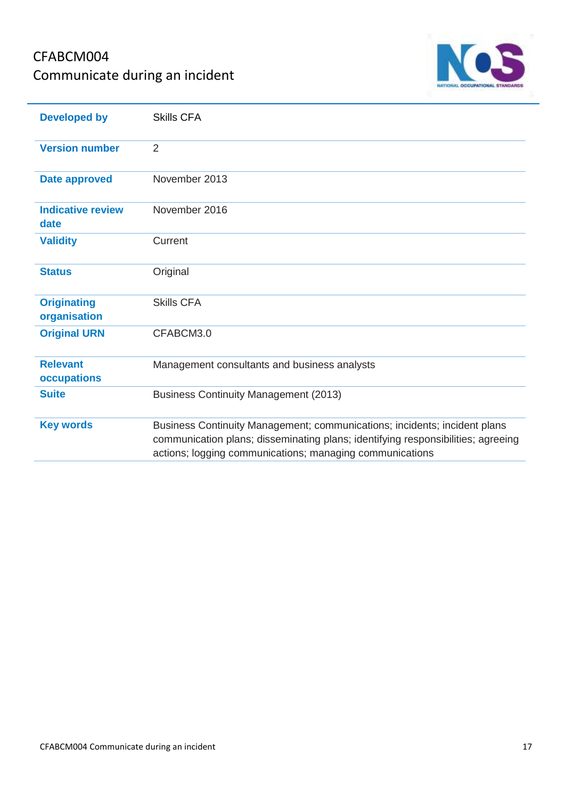## CFABCM004 Communicate during an incident



| <b>Developed by</b>                | <b>Skills CFA</b>                                                                                                                                                                                                         |
|------------------------------------|---------------------------------------------------------------------------------------------------------------------------------------------------------------------------------------------------------------------------|
| <b>Version number</b>              | 2                                                                                                                                                                                                                         |
| <b>Date approved</b>               | November 2013                                                                                                                                                                                                             |
| <b>Indicative review</b><br>date   | November 2016                                                                                                                                                                                                             |
| <b>Validity</b>                    | Current                                                                                                                                                                                                                   |
| <b>Status</b>                      | Original                                                                                                                                                                                                                  |
| <b>Originating</b><br>organisation | <b>Skills CFA</b>                                                                                                                                                                                                         |
| <b>Original URN</b>                | CFABCM3.0                                                                                                                                                                                                                 |
| <b>Relevant</b><br>occupations     | Management consultants and business analysts                                                                                                                                                                              |
| <b>Suite</b>                       | <b>Business Continuity Management (2013)</b>                                                                                                                                                                              |
| <b>Key words</b>                   | Business Continuity Management; communications; incidents; incident plans<br>communication plans; disseminating plans; identifying responsibilities; agreeing<br>actions; logging communications; managing communications |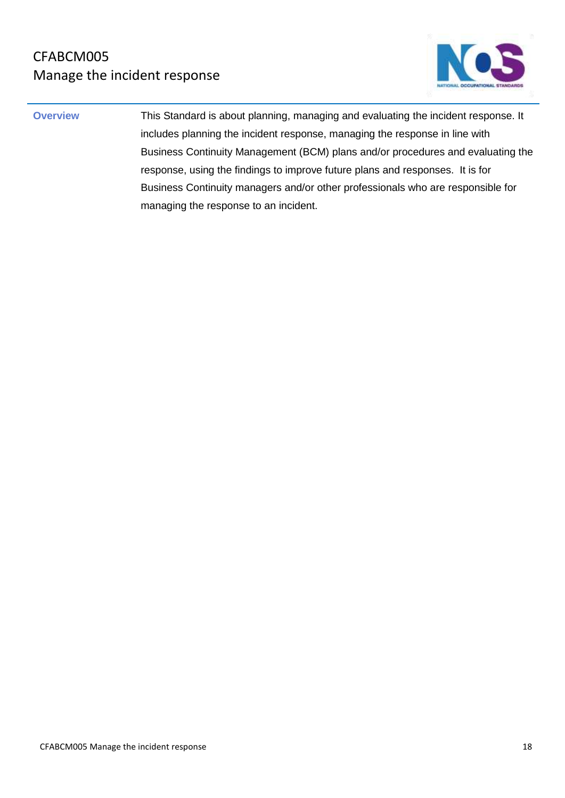

**Overview This Standard is about planning, managing and evaluating the incident response. It** includes planning the incident response, managing the response in line with Business Continuity Management (BCM) plans and/or procedures and evaluating the response, using the findings to improve future plans and responses. It is for Business Continuity managers and/or other professionals who are responsible for managing the response to an incident.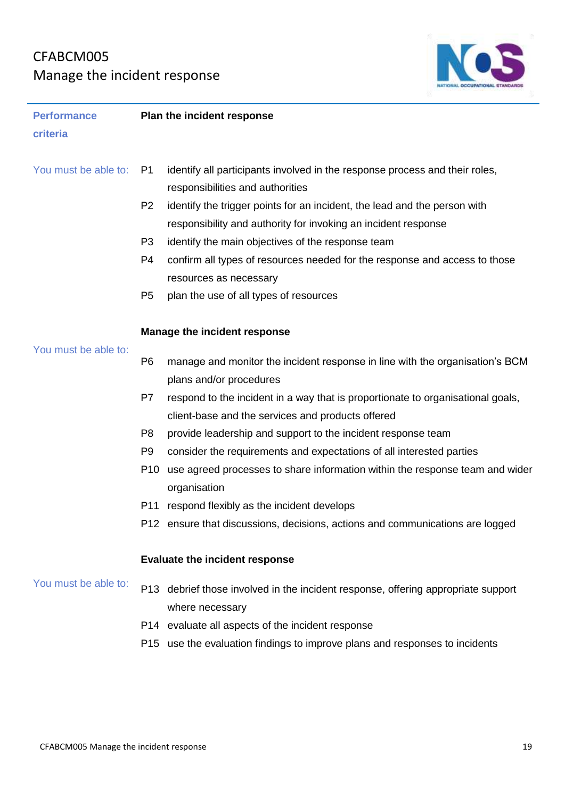## CFABCM005 Manage the incident response



| <b>Performance</b>   | Plan the incident response |                                                                                 |  |
|----------------------|----------------------------|---------------------------------------------------------------------------------|--|
| criteria             |                            |                                                                                 |  |
|                      |                            |                                                                                 |  |
| You must be able to: | P1                         | identify all participants involved in the response process and their roles,     |  |
|                      |                            | responsibilities and authorities                                                |  |
|                      | P <sub>2</sub>             | identify the trigger points for an incident, the lead and the person with       |  |
|                      |                            | responsibility and authority for invoking an incident response                  |  |
|                      | P <sub>3</sub>             | identify the main objectives of the response team                               |  |
|                      | P4                         | confirm all types of resources needed for the response and access to those      |  |
|                      |                            | resources as necessary                                                          |  |
|                      | P <sub>5</sub>             | plan the use of all types of resources                                          |  |
|                      |                            |                                                                                 |  |
|                      |                            | <b>Manage the incident response</b>                                             |  |
| You must be able to: |                            |                                                                                 |  |
|                      | P <sub>6</sub>             | manage and monitor the incident response in line with the organisation's BCM    |  |
|                      |                            | plans and/or procedures                                                         |  |
|                      | P7                         | respond to the incident in a way that is proportionate to organisational goals, |  |
|                      |                            | client-base and the services and products offered                               |  |
|                      | P <sub>8</sub>             | provide leadership and support to the incident response team                    |  |
|                      | P <sub>9</sub>             | consider the requirements and expectations of all interested parties            |  |
|                      | P10                        | use agreed processes to share information within the response team and wider    |  |
|                      |                            | organisation                                                                    |  |
|                      |                            | P11 respond flexibly as the incident develops                                   |  |
|                      |                            | P12 ensure that discussions, decisions, actions and communications are logged   |  |
|                      |                            |                                                                                 |  |
|                      |                            | <b>Evaluate the incident response</b>                                           |  |
| You must be able to: | P13                        | debrief those involved in the incident response, offering appropriate support   |  |
|                      |                            | where necessary                                                                 |  |
|                      |                            | P14 evaluate all aspects of the incident response                               |  |
|                      |                            | P15 use the evaluation findings to improve plans and responses to incidents     |  |
|                      |                            |                                                                                 |  |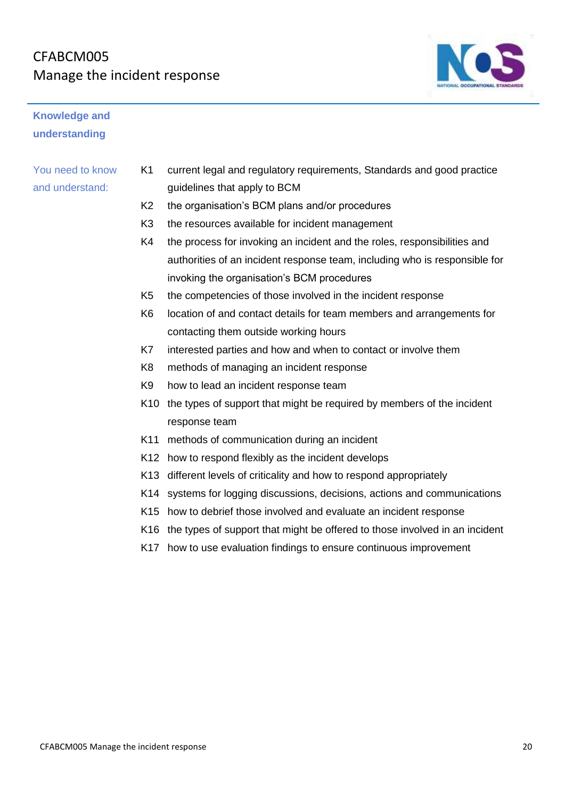## CFABCM005 Manage the incident response



- K1 current legal and regulatory requirements, Standards and good practice guidelines that apply to BCM
- K2 the organisation's BCM plans and/or procedures
- K3 the resources available for incident management
- K4 the process for invoking an incident and the roles, responsibilities and authorities of an incident response team, including who is responsible for invoking the organisation's BCM procedures
- K5 the competencies of those involved in the incident response
- K6 location of and contact details for team members and arrangements for contacting them outside working hours
- K7 interested parties and how and when to contact or involve them
- K8 methods of managing an incident response
- K9 how to lead an incident response team
- K10 the types of support that might be required by members of the incident response team
- K11 methods of communication during an incident
- K12 how to respond flexibly as the incident develops
- K13 different levels of criticality and how to respond appropriately
- K14 systems for logging discussions, decisions, actions and communications
- K15 how to debrief those involved and evaluate an incident response
- K16 the types of support that might be offered to those involved in an incident
- K17 how to use evaluation findings to ensure continuous improvement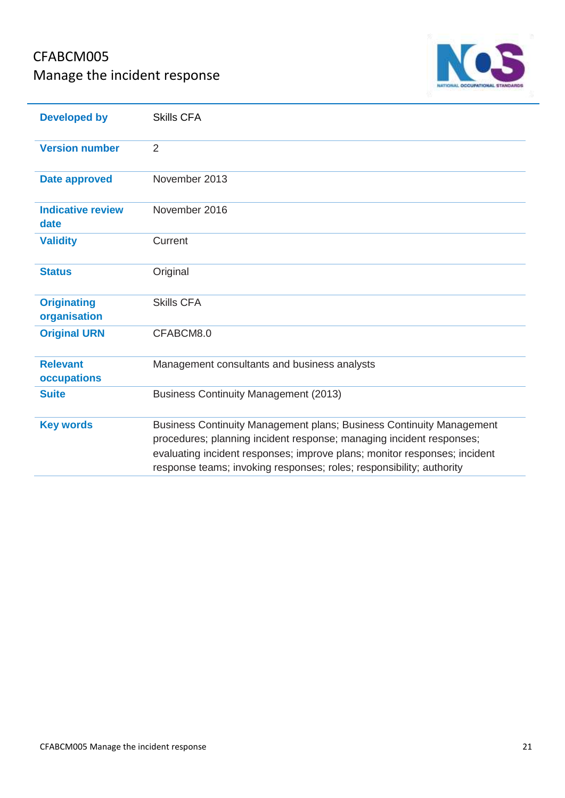## CFABCM005 Manage the incident response



| <b>Developed by</b>                | <b>Skills CFA</b>                                                                                                                                                                                                                                                                                 |
|------------------------------------|---------------------------------------------------------------------------------------------------------------------------------------------------------------------------------------------------------------------------------------------------------------------------------------------------|
| <b>Version number</b>              | 2                                                                                                                                                                                                                                                                                                 |
| <b>Date approved</b>               | November 2013                                                                                                                                                                                                                                                                                     |
| <b>Indicative review</b><br>date   | November 2016                                                                                                                                                                                                                                                                                     |
| <b>Validity</b>                    | Current                                                                                                                                                                                                                                                                                           |
| <b>Status</b>                      | Original                                                                                                                                                                                                                                                                                          |
| <b>Originating</b><br>organisation | <b>Skills CFA</b>                                                                                                                                                                                                                                                                                 |
| <b>Original URN</b>                | CFABCM8.0                                                                                                                                                                                                                                                                                         |
| <b>Relevant</b><br>occupations     | Management consultants and business analysts                                                                                                                                                                                                                                                      |
| <b>Suite</b>                       | <b>Business Continuity Management (2013)</b>                                                                                                                                                                                                                                                      |
| <b>Key words</b>                   | Business Continuity Management plans; Business Continuity Management<br>procedures; planning incident response; managing incident responses;<br>evaluating incident responses; improve plans; monitor responses; incident<br>response teams; invoking responses; roles; responsibility; authority |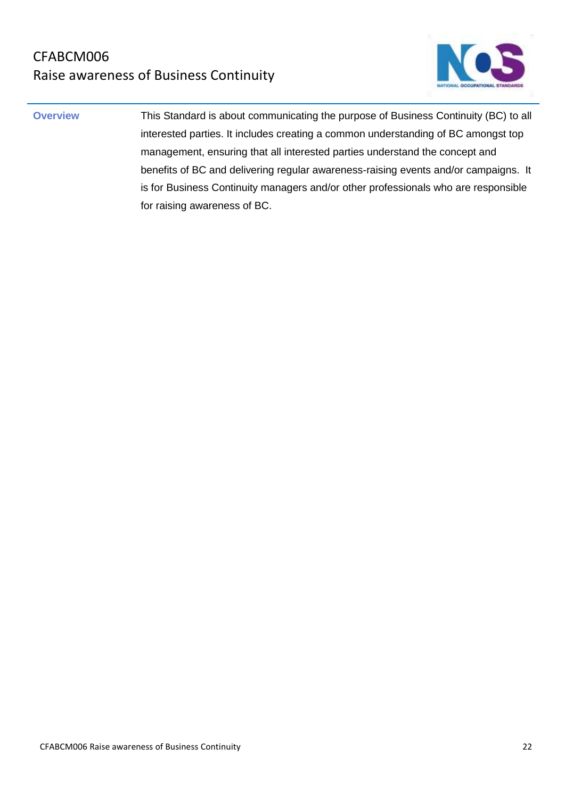

**Overview** This Standard is about communicating the purpose of Business Continuity (BC) to all interested parties. It includes creating a common understanding of BC amongst top management, ensuring that all interested parties understand the concept and benefits of BC and delivering regular awareness-raising events and/or campaigns. It is for Business Continuity managers and/or other professionals who are responsible for raising awareness of BC.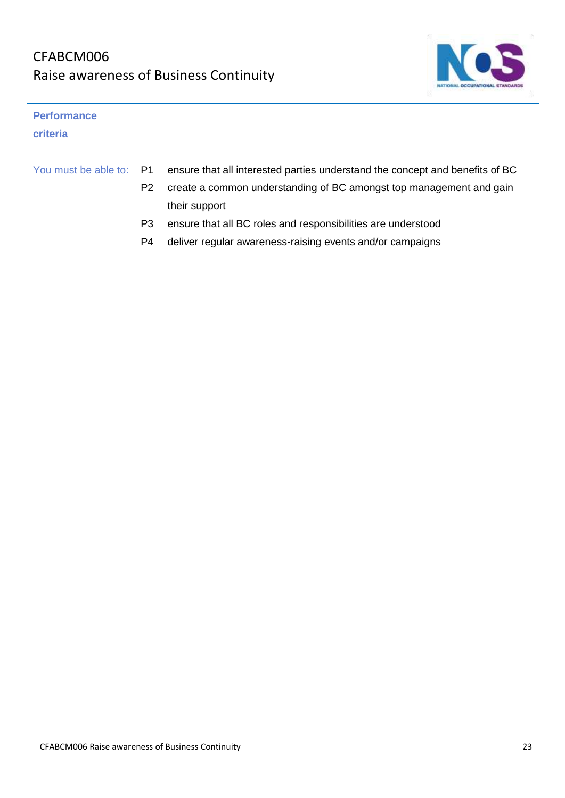

#### **Performance**

**criteria**

| You must be able to: P1 | ensure that all interested parties understand the concept and benefits of BC |
|-------------------------|------------------------------------------------------------------------------|
|                         | create a common understanding of BC amongst top management and gain          |
|                         | their support                                                                |

- P3 ensure that all BC roles and responsibilities are understood
- P4 deliver regular awareness-raising events and/or campaigns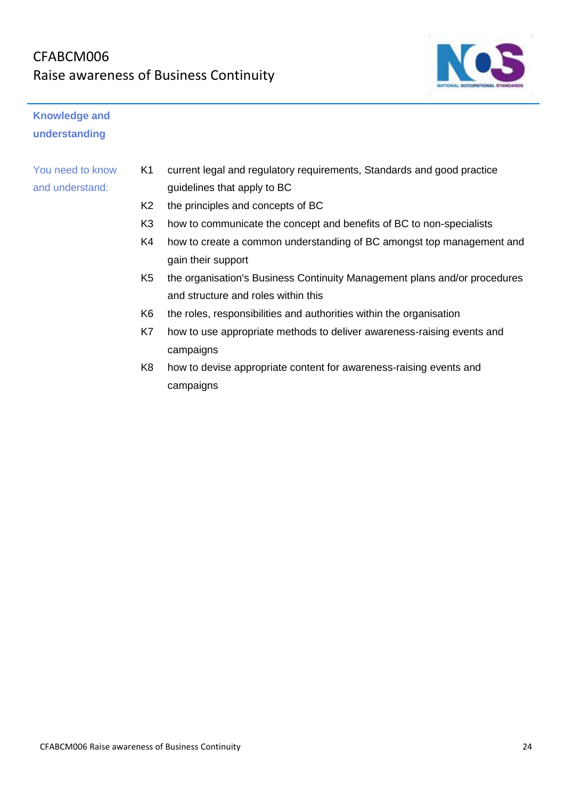## CFABCM006 Raise awareness of Business Continuity



## **Knowledge and understanding**

- K1 current legal and regulatory requirements, Standards and good practice guidelines that apply to BC
- K2 the principles and concepts of BC
- K3 how to communicate the concept and benefits of BC to non-specialists
- K4 how to create a common understanding of BC amongst top management and gain their support
- K5 the organisation's Business Continuity Management plans and/or procedures and structure and roles within this
- K6 the roles, responsibilities and authorities within the organisation
- K7 how to use appropriate methods to deliver awareness-raising events and campaigns
- K8 how to devise appropriate content for awareness-raising events and campaigns